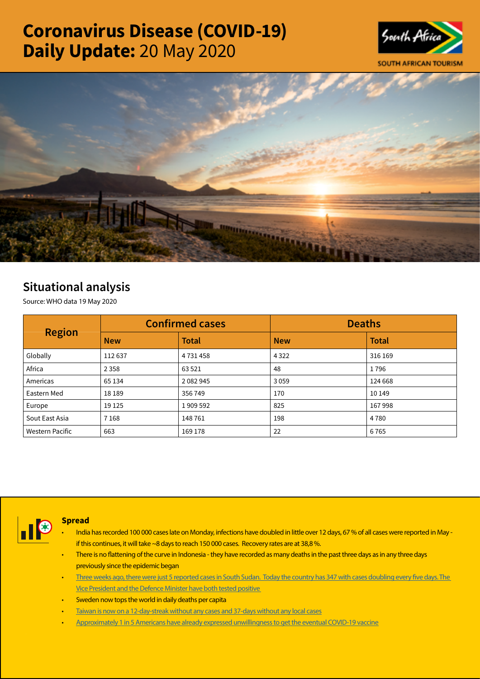# Coronavirus Disease (COVID-19) Daily Update: 20 May 2020





## Situational analysis

Source: WHO data 19 May 2020

| <b>Region</b>   |            | <b>Confirmed cases</b> | <b>Deaths</b> |              |  |
|-----------------|------------|------------------------|---------------|--------------|--|
|                 | <b>New</b> | <b>Total</b>           | <b>New</b>    | <b>Total</b> |  |
| Globally        | 112637     | 4731458                | 4 3 2 2       | 316 169      |  |
| Africa          | 2 3 5 8    | 63 5 21                | 48            | 1796         |  |
| Americas        | 65 134     | 2 0 8 2 9 4 5          | 3059          | 124 668      |  |
| Eastern Med     | 18 18 9    | 356749                 | 170           | 10 149       |  |
| Europe          | 19 1 25    | 1909592                | 825           | 167998       |  |
| Sout East Asia  | 7 1 6 8    | 148761                 | 198           | 4780         |  |
| Western Pacific | 663        | 169 178                | 22            | 6765         |  |



## **Spread**

- India has recorded 100 000 cases late on Monday, infections have doubled in little over 12 days, 67 % of all cases were reported in May if this continues, it will take ~8 days to reach 150 000 cases. Recovery rates are at 38,8 %.
- There is no flattening of the curve in Indonesia they have recorded as many deaths in the past three days as in any three days previously since the epidemic began
- [Three weeks ago, there were just 5 reported cases in South Sudan. Today the country has 347 with cases doubling every five days. The](https://t.co/XPvWXYJSgH?amp=1)  [Vice President and the Defence Minister have both tested positive](https://t.co/XPvWXYJSgH?amp=1)
- Sweden now tops the world in daily deaths per capita
- [Taiwan is now on a 12-day-streak without any cases and 37-days without any local cases](https://t.co/1WT43nL9Tq?amp=1)
- [Approximately 1 in 5 Americans have already expressed unwillingness to get the eventual COVID-19 vaccine](https://t.co/NUtYtXriNe?amp=1)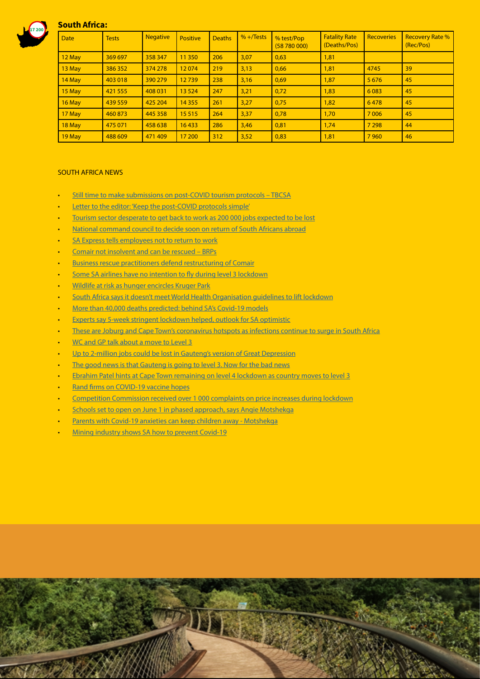

## South Africa:

| <b>Date</b> | <b>Tests</b> | <b>Negative</b> | Positive | <b>Deaths</b> | $% + / Tests$ | % test/Pop<br>(58780000) | <b>Fatality Rate</b><br>(Deaths/Pos) | <b>Recoveries</b> | <b>Recovery Rate %</b><br>(Rec/Pos) |
|-------------|--------------|-----------------|----------|---------------|---------------|--------------------------|--------------------------------------|-------------------|-------------------------------------|
| 12 May      | 369 697      | 358 347         | 11 3 50  | 206           | 3,07          | 0,63                     | 1,81                                 |                   |                                     |
| 13 May      | 386 352      | 374 278         | 12074    | 219           | 3,13          | 0.66                     | 1,81                                 | 4745              | 39                                  |
| 14 May      | 403 018      | 390 279         | 12739    | 238           | 3,16          | 0,69                     | 1,87                                 | 5 6 7 6           | 45                                  |
| 15 May      | 421 555      | 408 031         | 13 5 24  | 247           | 3,21          | 0,72                     | 1,83                                 | 6 0 8 3           | 45                                  |
| 16 May      | 439 559      | 425 204         | 14 3 5 5 | 261           | 3,27          | 0,75                     | 1,82                                 | 6478              | 45                                  |
| 17 May      | 460 873      | 445 358         | 15 5 15  | 264           | 3,37          | 0,78                     | 1,70                                 | 7 0 0 6           | 45                                  |
| 18 May      | 475 071      | 458 638         | 16433    | 286           | 3,46          | 0,81                     | 1,74                                 | 7 2 9 8           | 44                                  |
| 19 May      | 488 609      | 471409          | 17 200   | 312           | 3,52          | 0,83                     | 1,81                                 | 7960              | 46                                  |

### SOUTH AFRICA NEWS

- [Still time to make submissions on post-COVID tourism protocols TBCSA](http://www.tourismupdate.co.za/article/199465/Still-time-to-make-submissions-on-post-COVID-tourism-protocols-TBCSA)
- [Letter to the editor: 'Keep the post-COVID protocols simple'](http://www.tourismupdate.co.za/article/199470/Letter-to-the-editor-Keep-the-post-COVID-protocols-simple)
- [Tourism sector desperate to get back to work as 200 000 jobs expected to be lost](https://www.iol.co.za/capeargus/news/tourism-sector-desperate-to-get-back-to-work-as-200-000-jobs-expected-to-be-lost-48126227)
- [National command council to decide soon on return of South Africans abroad](https://www.businesslive.co.za/bd/national/2020-05-19-national-command-council-to-decide-soon-on-return-of-south-africans-abroad/)
- [SA Express tells employees not to return to work](https://www.businesslive.co.za/bd/national/2020-05-19-sa-express-tells-employees-not-to-return-to-work/)
- [Comair not insolvent and can be rescued BRPs](https://www.moneyweb.co.za/news/companies-and-deals/comair-not-insolvent-and-can-be-rescued-brps/)
- [Business rescue practitioners defend restructuring of Comair](https://www.dailymaverick.co.za/article/2020-05-19-business-rescue-practitioners-defend-restructuring-of-comair/?utm_source=homepagify)
- [Some SA airlines have no intention to fly during level 3 lockdown](https://www.iol.co.za/travel/travel-news/some-sa-airlines-have-no-intention-to-fly-during-level-3-lockdown-48119824)
- [Wildlife at risk as hunger encircles Kruger Park](https://www.dailymaverick.co.za/article/2020-05-20-wildlife-at-risk-as-hunger-encircles-kruger-park/)
- [South Africa says it doesn't meet World Health Organisation guidelines to lift lockdown](https://businesstech.co.za/news/government/399615/south-africa-says-it-doesnt-meet-world-health-organisation-guidelines-to-lift-lockdown/)
- [More than 40,000 deaths predicted: behind SA's Covid-19 models](https://www.businesslive.co.za/fm/features/2020-05-20-more-than-40000-deaths-predicted-behind-sas-covid-19-models/)
- [Experts say 5-week stringent lockdown helped, outlook for SA optimistic](https://www.iol.co.za/news/south-africa/experts-say-5-week-stringent-lockdown-helped-outlook-for-sa-optimistic-48149819)
- [These are Joburg and Cape Town's coronavirus hotspots as infections continue to surge in South Africa](https://businesstech.co.za/news/lifestyle/399245/these-are-joburg-and-cape-towns-coronavirus-hotspots-as-infections-continue-to-surge-in-south-africa/)
- [WC and GP talk about a move to Level 3](https://www.moneyweb.co.za/news/south-africa/wc-and-gp-talk-about-a-move-to-level-3/)
- [Up to 2-million jobs could be lost in Gauteng's version of Great Depression](https://www.businesslive.co.za/bd/national/2020-05-19-pp-to-2-million-jobs-could-be-lost-in-gautengs-version-of-great-depression/)
- [The good news is that Gauteng is going to level 3. Now for the bad news](https://select.timeslive.co.za/news/2020-05-20-the-good-news-is-that-gauteng-is-going-to-level-3-now-for-the-bad-news/)
- [Ebrahim Patel hints at Cape Town remaining on level 4 lockdown as country moves to level 3](https://www.timeslive.co.za/politics/2020-05-19-ebrahim-patel-hints-at-cape-town-remaining-on-level-4-lockdown-as-country-moves-to-level-3/)
- [Rand firms on COVID-19 vaccine hopes](https://www.moneyweb.co.za/news-fast-news/rand-firms-on-covid-19-vaccine-hopes/)
- [Competition Commission received over 1 000 complaints on price increases during lockdown](https://www.iol.co.za/business-report/economy/competition-commission-received-over-1-000-complaints-on-price-increases-during-lockdown-48139773)
- [Schools set to open on June 1 in phased approach, says Angie Motshekga](https://www.businesslive.co.za/bd/national/education/2020-05-19-schools-set-to-open-on-june-1-in-phased-approach-says-angie-motshekga/)
- [Parents with Covid-19 anxieties can keep children away Motshekga](https://www.iol.co.za/news/politics/parents-with-covid-19-anxieties-can-keep-children-away-motshekga-48142557)
- [Mining industry shows SA how to prevent Covid-19](https://select.timeslive.co.za/news/2020-05-20-mining-industry-shows-sa-how-to-prevent-covid-19/)